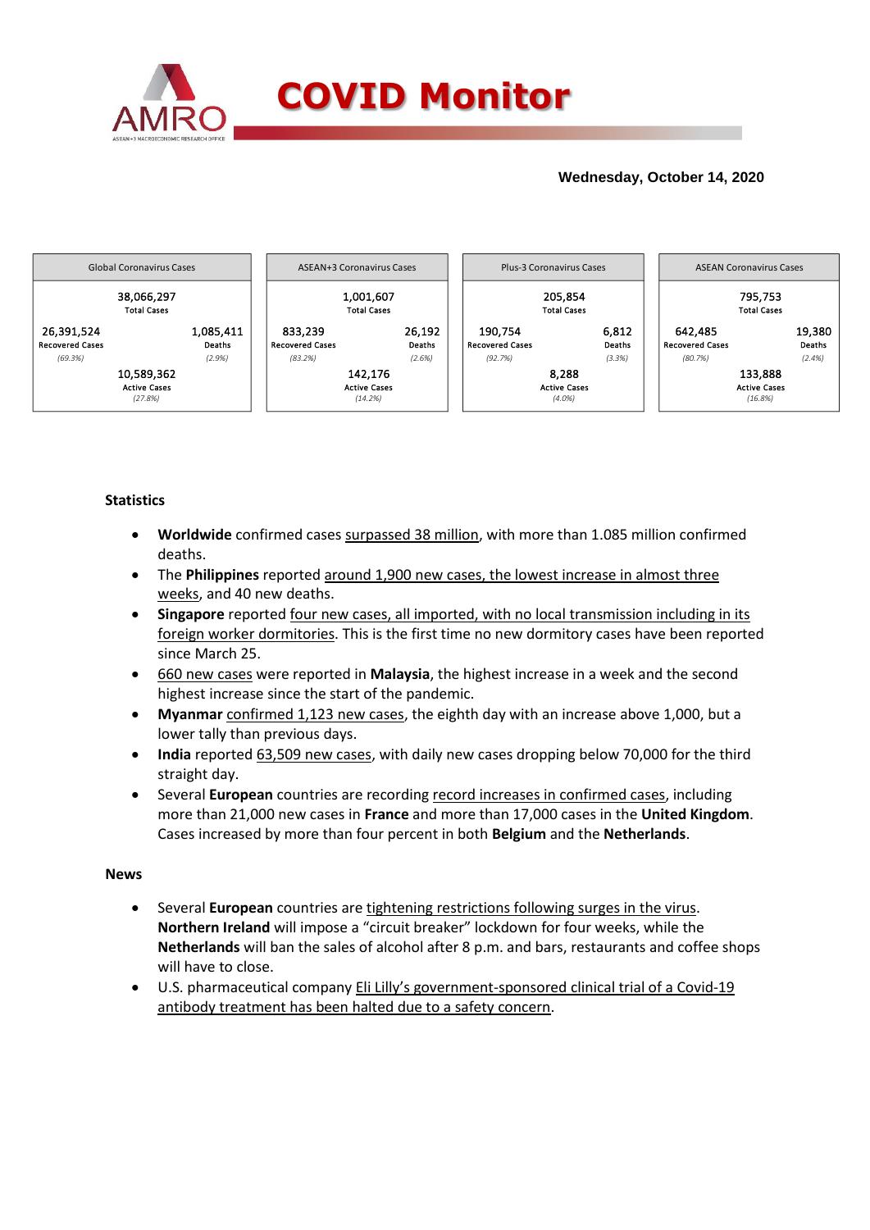

## **Wednesday, October 14, 2020**



## **Statistics**

- **Worldwide** confirmed cases surpassed 38 million, with more than 1.085 million confirmed deaths.
- The **Philippines** reported around 1,900 new cases, the lowest increase in almost three weeks, and 40 new deaths.
- **Singapore** reported four new cases, all imported, with no local transmission including in its foreign worker dormitories. This is the first time no new dormitory cases have been reported since March 25.
- 660 new cases were reported in **Malaysia**, the highest increase in a week and the second highest increase since the start of the pandemic.
- **Myanmar** confirmed 1,123 new cases, the eighth day with an increase above 1,000, but a lower tally than previous days.
- India reported 63,509 new cases, with daily new cases dropping below 70,000 for the third straight day.
- Several **European** countries are recording record increases in confirmed cases, including more than 21,000 new cases in **France** and more than 17,000 cases in the **United Kingdom**. Cases increased by more than four percent in both **Belgium** and the **Netherlands**.

### **News**

- Several **European** countries are tightening restrictions following surges in the virus. **Northern Ireland** will impose a "circuit breaker" lockdown for four weeks, while the **Netherlands** will ban the sales of alcohol after 8 p.m. and bars, restaurants and coffee shops will have to close.
- U.S. pharmaceutical company Eli Lilly's government-sponsored clinical trial of a Covid-19 antibody treatment has been halted due to a safety concern.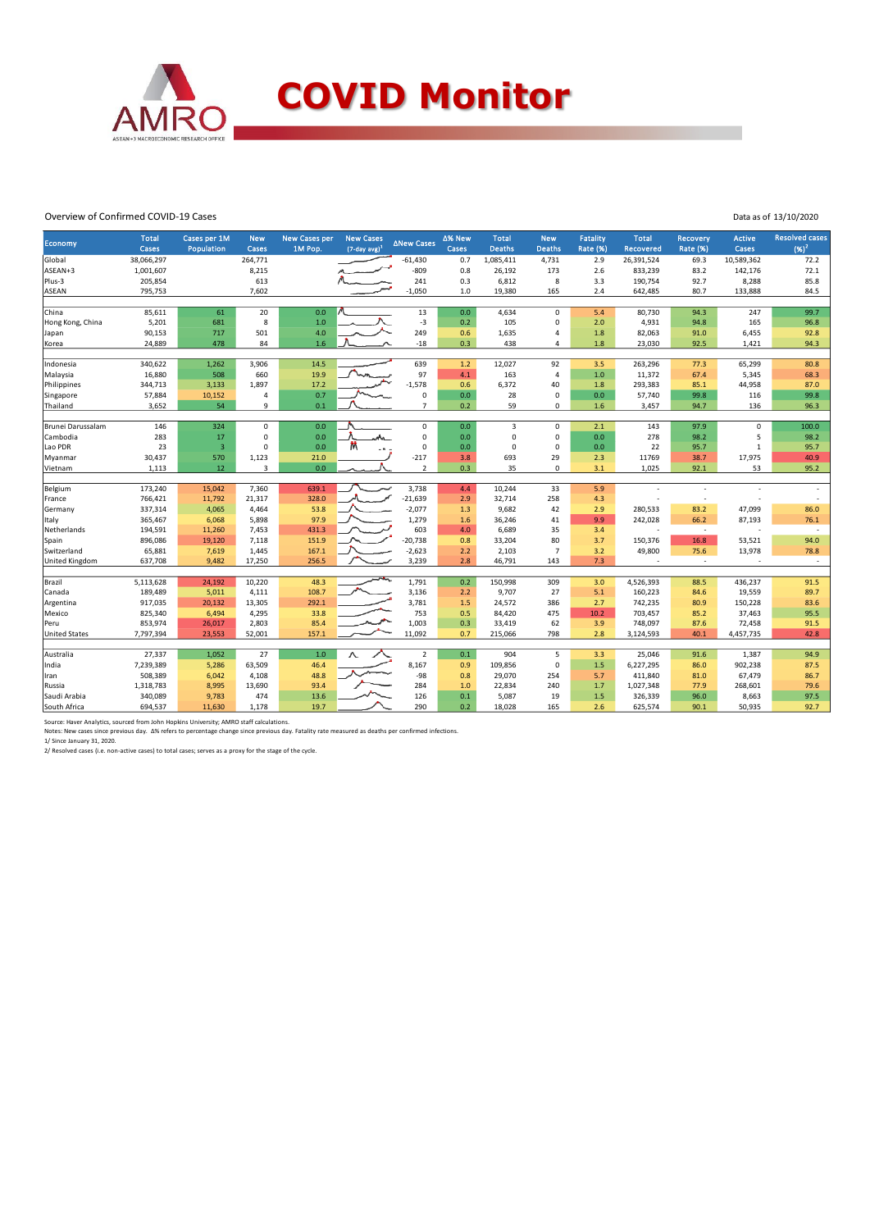

#### Overview of Confirmed COVID-19 Cases

| Data as of 13/10/2020 |  |
|-----------------------|--|
|                       |  |

| Economy              | <b>Total</b><br>Cases | Cases per 1M<br>Population | <b>New</b><br>Cases | <b>New Cases per</b><br>1M Pop. | <b>New Cases</b><br>$(7$ -day avg) <sup>1</sup> | <b>ANew Cases</b>   | Δ% New<br>Cases | <b>Total</b><br><b>Deaths</b> | <b>New</b><br><b>Deaths</b> | Fatality<br><b>Rate (%)</b> | <b>Total</b><br>Recovered | <b>Recovery</b><br><b>Rate (%)</b> | <b>Active</b><br>Cases | <b>Resolved cases</b><br>$(96)^2$ |
|----------------------|-----------------------|----------------------------|---------------------|---------------------------------|-------------------------------------------------|---------------------|-----------------|-------------------------------|-----------------------------|-----------------------------|---------------------------|------------------------------------|------------------------|-----------------------------------|
| Global               | 38,066,297            |                            | 264,771             |                                 |                                                 | $-61,430$           | 0.7             | 1,085,411                     | 4,731                       | 2.9                         | 26,391,524                | 69.3                               | 10,589,362             | 72.2                              |
| ASEAN+3              | 1,001,607             |                            | 8,215               |                                 |                                                 | $-809$              | 0.8             | 26,192                        | 173                         | 2.6                         | 833,239                   | 83.2                               | 142,176                | 72.1                              |
| Plus-3               | 205,854               |                            | 613                 |                                 |                                                 | 241                 | 0.3             | 6,812                         | 8                           | 3.3                         | 190,754                   | 92.7                               | 8,288                  | 85.8                              |
| ASEAN                | 795,753               |                            | 7,602               |                                 |                                                 | $-1,050$            | 1.0             | 19,380                        | 165                         | 2.4                         | 642,485                   | 80.7                               | 133,888                | 84.5                              |
| China                | 85,611                | 61                         | 20                  | 0.0                             |                                                 | 13                  | 0.0             | 4,634                         | 0                           | 5.4                         | 80,730                    | 94.3                               | 247                    | 99.7                              |
| Hong Kong, China     | 5,201                 | 681                        | 8                   | 1.0                             |                                                 | $-3$                | 0.2             | 105                           | 0                           | 2.0                         | 4,931                     | 94.8                               | 165                    | 96.8                              |
| Japan                | 90,153                | 717                        | 501                 | 4.0                             |                                                 | 249                 | 0.6             | 1,635                         | 4                           | 1.8                         | 82,063                    | 91.0                               | 6,455                  | 92.8                              |
| Korea                | 24,889                | 478                        | 84                  | 1.6                             |                                                 | $-18$               | 0.3             | 438                           | 4                           | 1.8                         | 23,030                    | 92.5                               | 1,421                  | 94.3                              |
|                      |                       |                            |                     |                                 |                                                 |                     |                 |                               |                             |                             |                           |                                    |                        |                                   |
| Indonesia            | 340,622               | 1,262                      | 3,906               | 14.5                            |                                                 | 639                 | 1.2             | 12,027                        | 92                          | 3.5                         | 263,296                   | 77.3                               | 65,299                 | 80.8                              |
| Malaysia             | 16,880                | 508                        | 660                 | 19.9                            |                                                 | 97                  | 4.1             | 163                           | 4                           | 1.0                         | 11,372                    | 67.4                               | 5,345                  | 68.3                              |
| Philippines          | 344,713               | 3,133                      | 1,897               | 17.2                            |                                                 | $-1,578$            | 0.6             | 6,372                         | 40                          | 1.8                         | 293,383                   | 85.1                               | 44,958                 | 87.0                              |
| Singapore            | 57,884                | 10,152                     | $\sqrt{4}$          | 0.7                             |                                                 | $\mathbf 0$         | 0.0             | 28                            | 0                           | 0.0                         | 57,740                    | 99.8                               | 116                    | 99.8                              |
| Thailand             | 3,652                 | 54                         | 9                   | 0.1                             |                                                 | $\overline{7}$      | 0.2             | 59                            | 0                           | 1.6                         | 3,457                     | 94.7                               | 136                    | 96.3                              |
| Brunei Darussalam    | 146                   | 324                        | $\mathbf 0$         | 0.0                             |                                                 | $\mathsf{O}\xspace$ | 0.0             | $\overline{3}$                | 0                           | 2.1                         | 143                       | 97.9                               | $\mathsf 0$            | 100.0                             |
| Cambodia             | 283                   | 17                         | $\pmb{0}$           | 0.0                             | ⇜                                               | $\mathsf 0$         | 0.0             | $\mathbf 0$                   | 0                           | 0.0                         | 278                       | 98.2                               | 5                      | 98.2                              |
| Lao PDR              | 23                    | $\overline{\mathbf{3}}$    | $\mathbf 0$         | 0.0                             |                                                 | $\mathbf 0$         | 0.0             | $\mathbf 0$                   | $\mathbf{0}$                | 0.0                         | 22                        | 95.7                               | $\mathbf{1}$           | 95.7                              |
| Myanmar              | 30,437                | 570                        | 1,123               | 21.0                            |                                                 | $-217$              | 3.8             | 693                           | 29                          | 2.3                         | 11769                     | 38.7                               | 17,975                 | 40.9                              |
| Vietnam              | 1,113                 | 12                         | 3                   | 0.0                             |                                                 | $\overline{2}$      | 0.3             | 35                            | $\Omega$                    | 3.1                         | 1,025                     | 92.1                               | 53                     | 95.2                              |
|                      |                       |                            |                     |                                 |                                                 |                     |                 |                               |                             |                             |                           |                                    |                        |                                   |
| Belgium              | 173,240               | 15,042                     | 7,360               | 639.1                           |                                                 | 3,738               | 4.4             | 10,244                        | 33                          | 5.9                         |                           |                                    |                        |                                   |
| France               | 766,421               | 11,792                     | 21,317              | 328.0                           |                                                 | $-21,639$           | 2.9             | 32,714                        | 258                         | 4.3                         |                           | $\overline{a}$                     |                        |                                   |
| Germany              | 337,314               | 4,065                      | 4,464               | 53.8<br>97.9                    |                                                 | $-2,077$<br>1,279   | 1.3             | 9,682                         | 42<br>41                    | 2.9<br>9.9                  | 280,533<br>242,028        | 83.2                               | 47,099<br>87,193       | 86.0<br>76.1                      |
| Italy<br>Netherlands | 365,467<br>194,591    | 6,068<br>11,260            | 5,898<br>7,453      | 431.3                           |                                                 | 603                 | 1.6<br>4.0      | 36,246<br>6,689               | 35                          | 3.4                         |                           | 66.2<br>$\sim$                     |                        | $\sim$                            |
| Spain                | 896,086               | 19,120                     | 7,118               | 151.9                           |                                                 | $-20,738$           | 0.8             | 33,204                        | 80                          | 3.7                         | 150,376                   | 16.8                               | 53,521                 | 94.0                              |
| Switzerland          | 65,881                | 7,619                      | 1,445               | 167.1                           |                                                 | $-2,623$            | 2.2             | 2,103                         | $\overline{7}$              | 3.2                         | 49,800                    | 75.6                               | 13,978                 | 78.8                              |
| United Kingdom       | 637,708               | 9,482                      | 17,250              | 256.5                           |                                                 | 3,239               | 2.8             | 46,791                        | 143                         | 7.3                         | $\overline{\phantom{a}}$  | $\overline{\phantom{a}}$           |                        | $\sim$                            |
|                      |                       |                            |                     |                                 |                                                 |                     |                 |                               |                             |                             |                           |                                    |                        |                                   |
| Brazil               | 5,113,628             | 24,192                     | 10,220              | 48.3                            |                                                 | 1,791               | 0.2             | 150,998                       | 309                         | 3.0                         | 4,526,393                 | 88.5                               | 436,237                | 91.5                              |
| Canada               | 189,489               | 5,011                      | 4,111               | 108.7                           |                                                 | 3,136               | 2.2             | 9,707                         | 27                          | 5.1                         | 160,223                   | 84.6                               | 19,559                 | 89.7                              |
| Argentina            | 917,035               | 20,132                     | 13,305              | 292.1                           |                                                 | 3,781               | 1.5             | 24,572                        | 386                         | 2.7                         | 742,235                   | 80.9                               | 150,228                | 83.6                              |
| Mexico               | 825,340               | 6,494                      | 4,295               | 33.8                            |                                                 | 753                 | 0.5             | 84,420                        | 475                         | 10.2                        | 703,457                   | 85.2                               | 37,463                 | 95.5                              |
| Peru                 | 853,974               | 26,017                     | 2,803               | 85.4                            |                                                 | 1,003               | 0.3             | 33,419                        | 62                          | 3.9                         | 748,097                   | 87.6                               | 72,458                 | 91.5                              |
| <b>United States</b> | 7,797,394             | 23,553                     | 52,001              | 157.1                           |                                                 | 11,092              | 0.7             | 215,066                       | 798                         | 2.8                         | 3,124,593                 | 40.1                               | 4,457,735              | 42.8                              |
| Australia            | 27,337                | 1,052                      | 27                  | 1.0                             |                                                 | $\overline{2}$      | 0.1             | 904                           | 5                           | 3.3                         | 25,046                    | 91.6                               | 1,387                  | 94.9                              |
| India                | 7,239,389             | 5,286                      | 63,509              | 46.4                            |                                                 | 8,167               | 0.9             | 109,856                       | 0                           | 1.5                         | 6,227,295                 | 86.0                               | 902,238                | 87.5                              |
| Iran                 | 508,389               | 6,042                      | 4,108               | 48.8                            |                                                 | $-98$               | 0.8             | 29,070                        | 254                         | 5.7                         | 411,840                   | 81.0                               | 67,479                 | 86.7                              |
| Russia               | 1,318,783             | 8,995                      | 13,690              | 93.4                            |                                                 | 284                 | 1.0             | 22,834                        | 240                         | 1.7                         | 1,027,348                 | 77.9                               | 268,601                | 79.6                              |
| Saudi Arabia         | 340,089               | 9,783                      | 474                 | 13.6                            |                                                 | 126                 | 0.1             | 5,087                         | 19                          | 1.5                         | 326,339                   | 96.0                               | 8,663                  | 97.5                              |
| South Africa         | 694,537               | 11,630                     | 1,178               | 19.7                            |                                                 | 290                 | 0.2             | 18,028                        | 165                         | 2.6                         | 625,574                   | 90.1                               | 50,935                 | 92.7                              |
|                      |                       |                            |                     |                                 |                                                 |                     |                 |                               |                             |                             |                           |                                    |                        |                                   |

Source: Haver Analytics, sourced from John Hopkins University; AMRO staff calculations.

Notes: New cases since previous day. ∆% refers to percentage change since previous day. Fatality rate measured as deaths per confirmed infections.<br>1/ Since January 31, 2020.<br>2/ Resolved cases (i.e. non-active cases) to tot